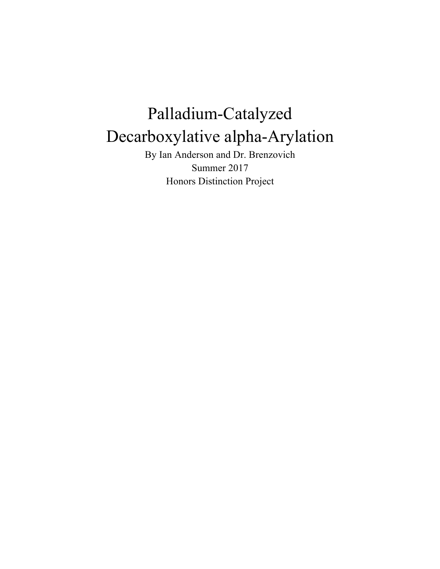# Palladium-Catalyzed Decarboxylative alpha-Arylation

By Ian Anderson and Dr. Brenzovich Summer 2017 Honors Distinction Project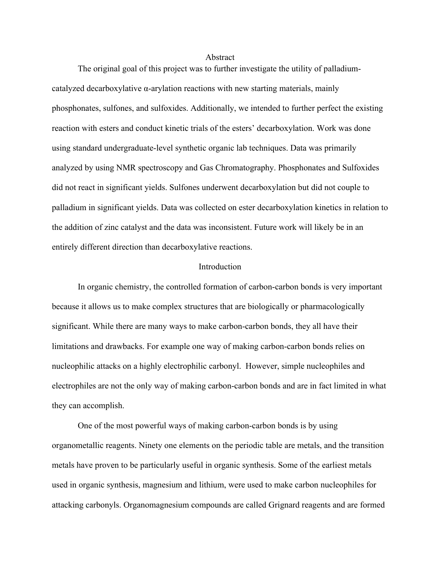#### Abstract

The original goal of this project was to further investigate the utility of palladiumcatalyzed decarboxylative  $\alpha$ -arylation reactions with new starting materials, mainly phosphonates, sulfones, and sulfoxides. Additionally, we intended to further perfect the existing reaction with esters and conduct kinetic trials of the esters' decarboxylation. Work was done using standard undergraduate-level synthetic organic lab techniques. Data was primarily analyzed by using NMR spectroscopy and Gas Chromatography. Phosphonates and Sulfoxides did not react in significant yields. Sulfones underwent decarboxylation but did not couple to palladium in significant yields. Data was collected on ester decarboxylation kinetics in relation to the addition of zinc catalyst and the data was inconsistent. Future work will likely be in an entirely different direction than decarboxylative reactions.

# Introduction

In organic chemistry, the controlled formation of carbon-carbon bonds is very important because it allows us to make complex structures that are biologically or pharmacologically significant. While there are many ways to make carbon-carbon bonds, they all have their limitations and drawbacks. For example one way of making carbon-carbon bonds relies on nucleophilic attacks on a highly electrophilic carbonyl. However, simple nucleophiles and electrophiles are not the only way of making carbon-carbon bonds and are in fact limited in what they can accomplish.

One of the most powerful ways of making carbon-carbon bonds is by using organometallic reagents. Ninety one elements on the periodic table are metals, and the transition metals have proven to be particularly useful in organic synthesis. Some of the earliest metals used in organic synthesis, magnesium and lithium, were used to make carbon nucleophiles for attacking carbonyls. Organomagnesium compounds are called Grignard reagents and are formed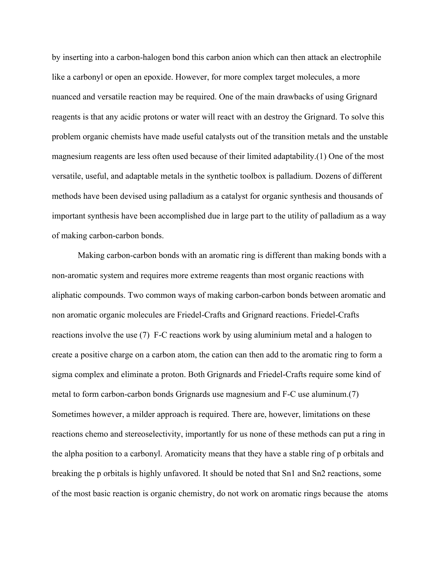by inserting into a carbon-halogen bond this carbon anion which can then attack an electrophile like a carbonyl or open an epoxide. However, for more complex target molecules, a more nuanced and versatile reaction may be required. One of the main drawbacks of using Grignard reagents is that any acidic protons or water will react with an destroy the Grignard. To solve this problem organic chemists have made useful catalysts out of the transition metals and the unstable magnesium reagents are less often used because of their limited adaptability.(1) One of the most versatile, useful, and adaptable metals in the synthetic toolbox is palladium. Dozens of different methods have been devised using palladium as a catalyst for organic synthesis and thousands of important synthesis have been accomplished due in large part to the utility of palladium as a way of making carbon-carbon bonds.

Making carbon-carbon bonds with an aromatic ring is different than making bonds with a non-aromatic system and requires more extreme reagents than most organic reactions with aliphatic compounds. Two common ways of making carbon-carbon bonds between aromatic and non aromatic organic molecules are Friedel-Crafts and Grignard reactions. Friedel-Crafts reactions involve the use (7) F-C reactions work by using aluminium metal and a halogen to create a positive charge on a carbon atom, the cation can then add to the aromatic ring to form a sigma complex and eliminate a proton. Both Grignards and Friedel-Crafts require some kind of metal to form carbon-carbon bonds Grignards use magnesium and F-C use aluminum.(7) Sometimes however, a milder approach is required. There are, however, limitations on these reactions chemo and stereoselectivity, importantly for us none of these methods can put a ring in the alpha position to a carbonyl. Aromaticity means that they have a stable ring of p orbitals and breaking the p orbitals is highly unfavored. It should be noted that Sn1 and Sn2 reactions, some of the most basic reaction is organic chemistry, do not work on aromatic rings because the atoms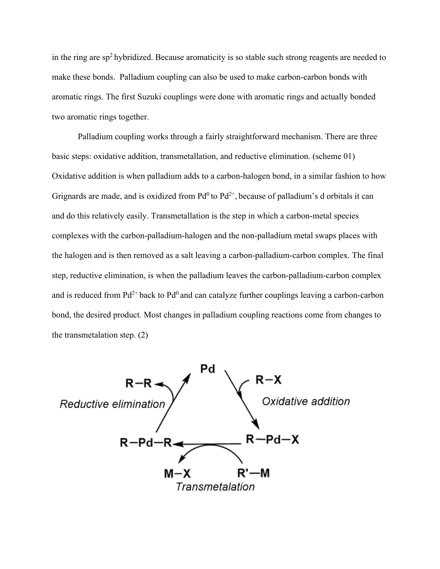in the ring are  $sp<sup>2</sup>$  hybridized. Because aromaticity is so stable such strong reagents are needed to make these bonds. Palladium coupling can also be used to make carbon-carbon bonds with aromatic rings. The first Suzuki couplings were done with aromatic rings and actually bonded two aromatic rings together.

Palladium coupling works through a fairly straightforward mechanism. There are three basic steps: oxidative addition, transmetallation, and reductive elimination. (scheme 01) Oxidative addition is when palladium adds to a carbon-halogen bond, in a similar fashion to how Grignards are made, and is oxidized from  $Pd^0$  to  $Pd^{2+}$ , because of palladium's d orbitals it can and do this relatively easily. Transmetallation is the step in which a carbon-metal species complexes with the carbon-palladium-halogen and the non-palladium metal swaps places with the halogen and is then removed as a salt leaving a carbon-palladium-carbon complex. The final step, reductive elimination, is when the palladium leaves the carbon-palladium-carbon complex and is reduced from  $Pd^{2+}$  back to  $Pd^0$  and can catalyze further couplings leaving a carbon-carbon bond, the desired product. Most changes in palladium coupling reactions come from changes to the transmetalation step. (2)

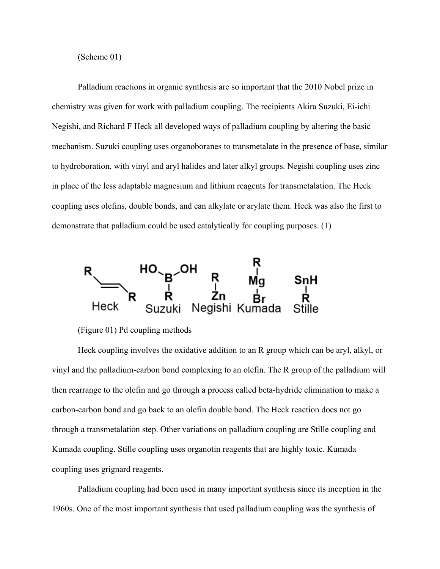(Scheme 01)

Palladium reactions in organic synthesis are so important that the 2010 Nobel prize in chemistry was given for work with palladium coupling. The recipients Akira Suzuki, Ei-ichi Negishi, and Richard F Heck all developed ways of palladium coupling by altering the basic mechanism. Suzuki coupling uses organoboranes to transmetalate in the presence of base, similar to hydroboration, with vinyl and aryl halides and later alkyl groups. Negishi coupling uses zinc in place of the less adaptable magnesium and lithium reagents for transmetalation. The Heck coupling uses olefins, double bonds, and can alkylate or arylate them. Heck was also the first to demonstrate that palladium could be used catalytically for coupling purposes. (1)



(Figure 01) Pd coupling methods

Heck coupling involves the oxidative addition to an R group which can be aryl, alkyl, or vinyl and the palladium-carbon bond complexing to an olefin. The R group of the palladium will then rearrange to the olefin and go through a process called beta-hydride elimination to make a carbon-carbon bond and go back to an olefin double bond. The Heck reaction does not go through a transmetalation step. Other variations on palladium coupling are Stille coupling and Kumada coupling. Stille coupling uses organotin reagents that are highly toxic. Kumada coupling uses grignard reagents.

Palladium coupling had been used in many important synthesis since its inception in the 1960s. One of the most important synthesis that used palladium coupling was the synthesis of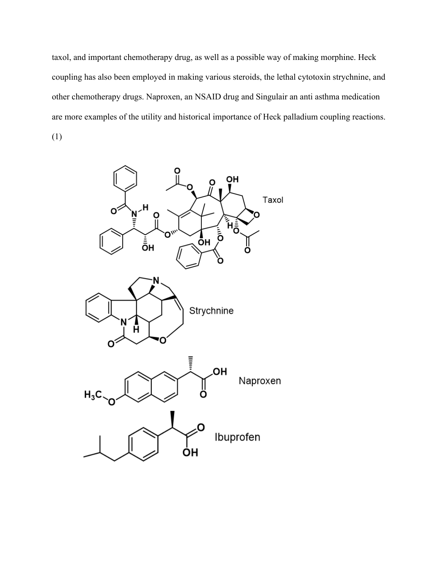taxol, and important chemotherapy drug, as well as a possible way of making morphine. Heck coupling has also been employed in making various steroids, the lethal cytotoxin strychnine, and other chemotherapy drugs. Naproxen, an NSAID drug and Singulair an anti asthma medication are more examples of the utility and historical importance of Heck palladium coupling reactions. (1)

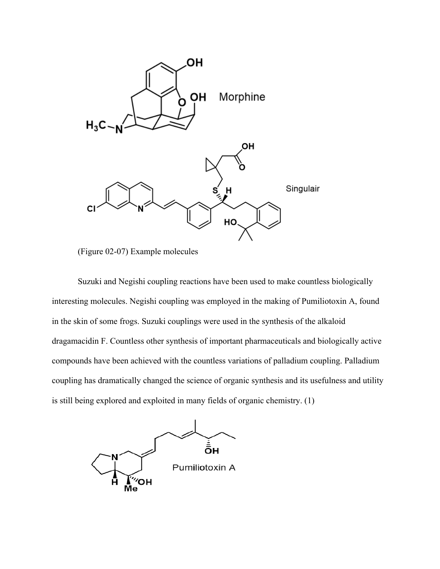

(Figure 02-07) Example molecules

Suzuki and Negishi coupling reactions have been used to make countless biologically interesting molecules. Negishi coupling was employed in the making of Pumiliotoxin A, found in the skin of some frogs. Suzuki couplings were used in the synthesis of the alkaloid dragamacidin F. Countless other synthesis of important pharmaceuticals and biologically active compounds have been achieved with the countless variations of palladium coupling. Palladium coupling has dramatically changed the science of organic synthesis and its usefulness and utility is still being explored and exploited in many fields of organic chemistry. (1)

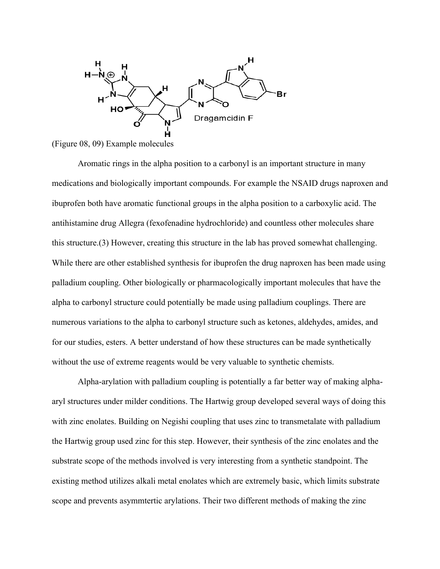

(Figure 08, 09) Example molecules

Aromatic rings in the alpha position to a carbonyl is an important structure in many medications and biologically important compounds. For example the NSAID drugs naproxen and ibuprofen both have aromatic functional groups in the alpha position to a carboxylic acid. The antihistamine drug Allegra (fexofenadine hydrochloride) and countless other molecules share this structure.(3) However, creating this structure in the lab has proved somewhat challenging. While there are other established synthesis for ibuprofen the drug naproxen has been made using palladium coupling. Other biologically or pharmacologically important molecules that have the alpha to carbonyl structure could potentially be made using palladium couplings. There are numerous variations to the alpha to carbonyl structure such as ketones, aldehydes, amides, and for our studies, esters. A better understand of how these structures can be made synthetically without the use of extreme reagents would be very valuable to synthetic chemists.

Alpha-arylation with palladium coupling is potentially a far better way of making alphaaryl structures under milder conditions. The Hartwig group developed several ways of doing this with zinc enolates. Building on Negishi coupling that uses zinc to transmetalate with palladium the Hartwig group used zinc for this step. However, their synthesis of the zinc enolates and the substrate scope of the methods involved is very interesting from a synthetic standpoint. The existing method utilizes alkali metal enolates which are extremely basic, which limits substrate scope and prevents asymmtertic arylations. Their two different methods of making the zinc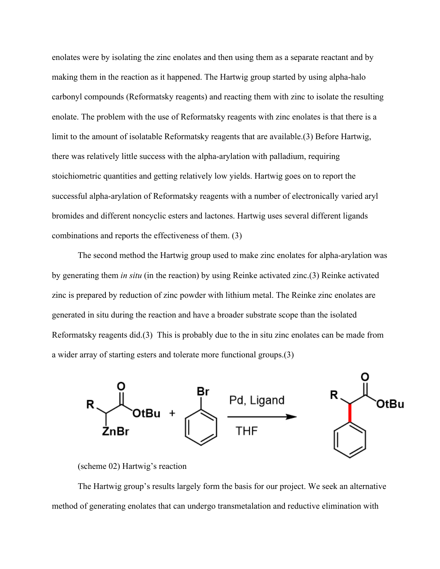enolates were by isolating the zinc enolates and then using them as a separate reactant and by making them in the reaction as it happened. The Hartwig group started by using alpha-halo carbonyl compounds (Reformatsky reagents) and reacting them with zinc to isolate the resulting enolate. The problem with the use of Reformatsky reagents with zinc enolates is that there is a limit to the amount of isolatable Reformatsky reagents that are available.(3) Before Hartwig, there was relatively little success with the alpha-arylation with palladium, requiring stoichiometric quantities and getting relatively low yields. Hartwig goes on to report the successful alpha-arylation of Reformatsky reagents with a number of electronically varied aryl bromides and different noncyclic esters and lactones. Hartwig uses several different ligands combinations and reports the effectiveness of them. (3)

The second method the Hartwig group used to make zinc enolates for alpha-arylation was by generating them *in situ* (in the reaction) by using Reinke activated zinc.(3) Reinke activated zinc is prepared by reduction of zinc powder with lithium metal. The Reinke zinc enolates are generated in situ during the reaction and have a broader substrate scope than the isolated Reformatsky reagents did.(3) This is probably due to the in situ zinc enolates can be made from a wider array of starting esters and tolerate more functional groups.(3)





The Hartwig group's results largely form the basis for our project. We seek an alternative method of generating enolates that can undergo transmetalation and reductive elimination with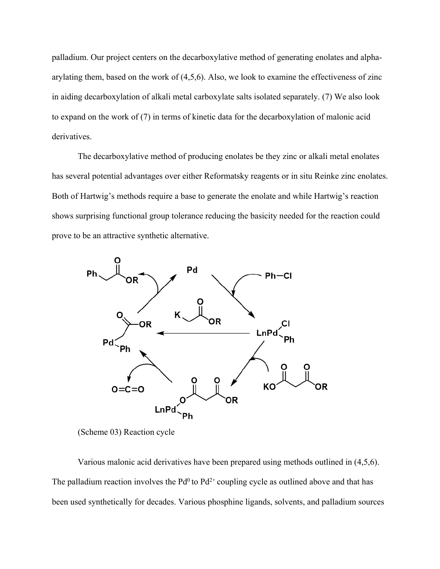palladium. Our project centers on the decarboxylative method of generating enolates and alphaarylating them, based on the work of (4,5,6). Also, we look to examine the effectiveness of zinc in aiding decarboxylation of alkali metal carboxylate salts isolated separately. (7) We also look to expand on the work of (7) in terms of kinetic data for the decarboxylation of malonic acid derivatives.

The decarboxylative method of producing enolates be they zinc or alkali metal enolates has several potential advantages over either Reformatsky reagents or in situ Reinke zinc enolates. Both of Hartwig's methods require a base to generate the enolate and while Hartwig's reaction shows surprising functional group tolerance reducing the basicity needed for the reaction could prove to be an attractive synthetic alternative.



<sup>(</sup>Scheme 03) Reaction cycle

Various malonic acid derivatives have been prepared using methods outlined in (4,5,6). The palladium reaction involves the  $Pd^0$  to  $Pd^{2+}$  coupling cycle as outlined above and that has been used synthetically for decades. Various phosphine ligands, solvents, and palladium sources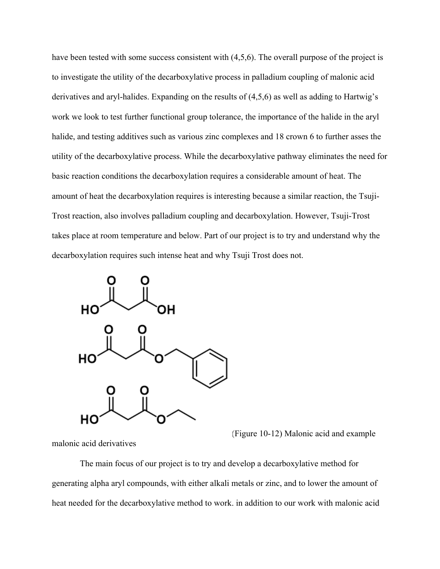have been tested with some success consistent with  $(4,5,6)$ . The overall purpose of the project is to investigate the utility of the decarboxylative process in palladium coupling of malonic acid derivatives and aryl-halides. Expanding on the results of (4,5,6) as well as adding to Hartwig's work we look to test further functional group tolerance, the importance of the halide in the aryl halide, and testing additives such as various zinc complexes and 18 crown 6 to further asses the utility of the decarboxylative process. While the decarboxylative pathway eliminates the need for basic reaction conditions the decarboxylation requires a considerable amount of heat. The amount of heat the decarboxylation requires is interesting because a similar reaction, the Tsuji-Trost reaction, also involves palladium coupling and decarboxylation. However, Tsuji-Trost takes place at room temperature and below. Part of our project is to try and understand why the decarboxylation requires such intense heat and why Tsuji Trost does not.



(Figure 10-12) Malonic acid and example

malonic acid derivatives

The main focus of our project is to try and develop a decarboxylative method for generating alpha aryl compounds, with either alkali metals or zinc, and to lower the amount of heat needed for the decarboxylative method to work. in addition to our work with malonic acid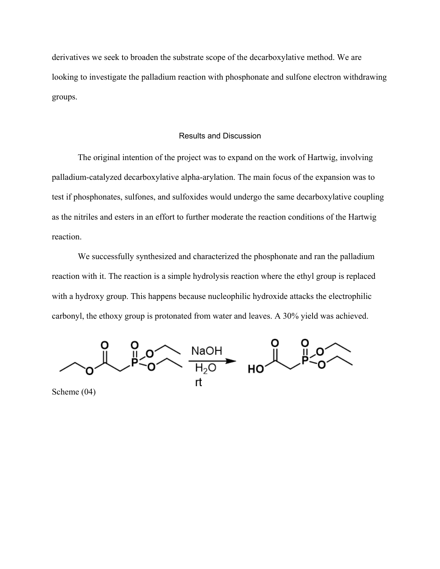derivatives we seek to broaden the substrate scope of the decarboxylative method. We are looking to investigate the palladium reaction with phosphonate and sulfone electron withdrawing groups.

# Results and Discussion

The original intention of the project was to expand on the work of Hartwig, involving palladium-catalyzed decarboxylative alpha-arylation. The main focus of the expansion was to test if phosphonates, sulfones, and sulfoxides would undergo the same decarboxylative coupling as the nitriles and esters in an effort to further moderate the reaction conditions of the Hartwig reaction.

We successfully synthesized and characterized the phosphonate and ran the palladium reaction with it. The reaction is a simple hydrolysis reaction where the ethyl group is replaced with a hydroxy group. This happens because nucleophilic hydroxide attacks the electrophilic carbonyl, the ethoxy group is protonated from water and leaves. A 30% yield was achieved.



Scheme (04)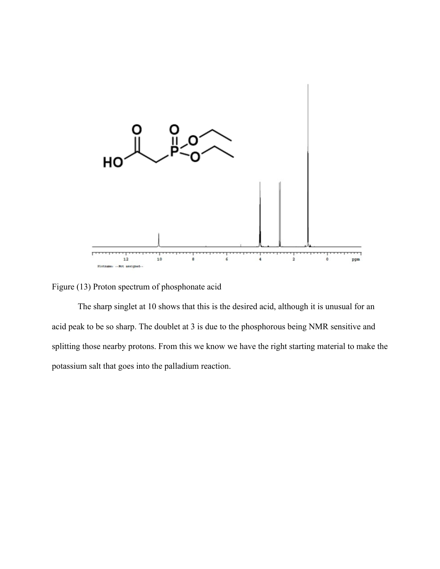

Figure (13) Proton spectrum of phosphonate acid

The sharp singlet at 10 shows that this is the desired acid, although it is unusual for an acid peak to be so sharp. The doublet at 3 is due to the phosphorous being NMR sensitive and splitting those nearby protons. From this we know we have the right starting material to make the potassium salt that goes into the palladium reaction.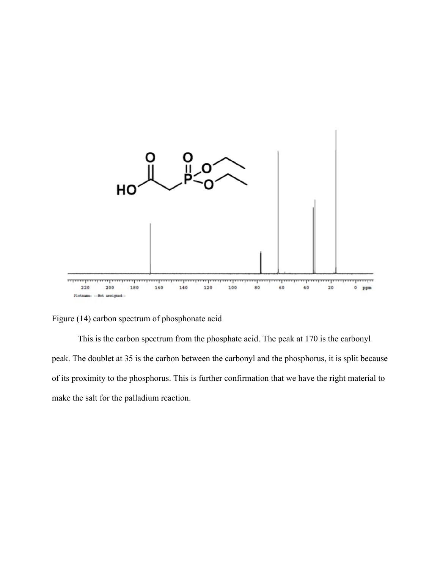

Figure (14) carbon spectrum of phosphonate acid

This is the carbon spectrum from the phosphate acid. The peak at 170 is the carbonyl peak. The doublet at 35 is the carbon between the carbonyl and the phosphorus, it is split because of its proximity to the phosphorus. This is further confirmation that we have the right material to make the salt for the palladium reaction.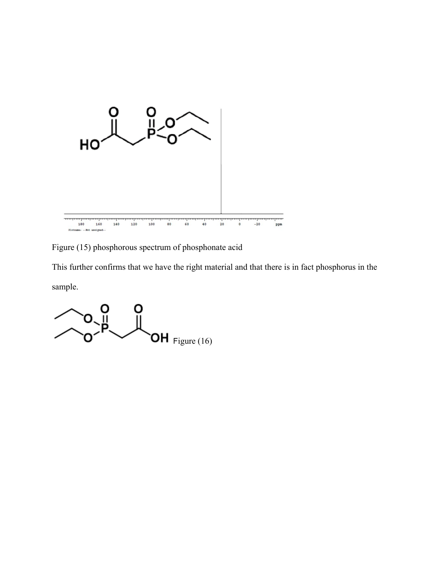

Figure (15) phosphorous spectrum of phosphonate acid

This further confirms that we have the right material and that there is in fact phosphorus in the sample.

 $\overline{\textsf{OH}}$  Figure (16)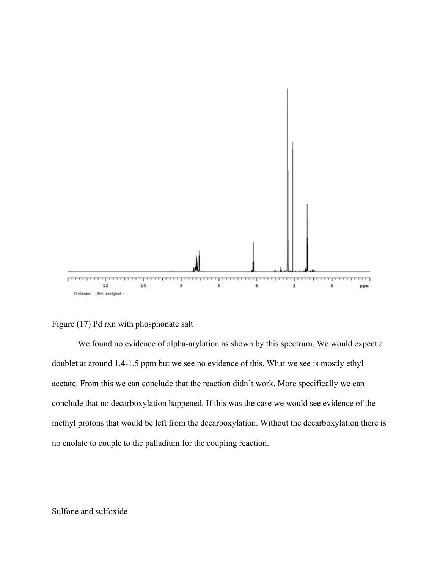

Figure (17) Pd rxn with phosphonate salt

We found no evidence of alpha-arylation as shown by this spectrum. We would expect a doublet at around 1.4-1.5 ppm but we see no evidence of this. What we see is mostly ethyl acetate. From this we can conclude that the reaction didn't work. More specifically we can conclude that no decarboxylation happened. If this was the case we would see evidence of the methyl protons that would be left from the decarboxylation. Without the decarboxylation there is no enolate to couple to the palladium for the coupling reaction.

# Sulfone and sulfoxide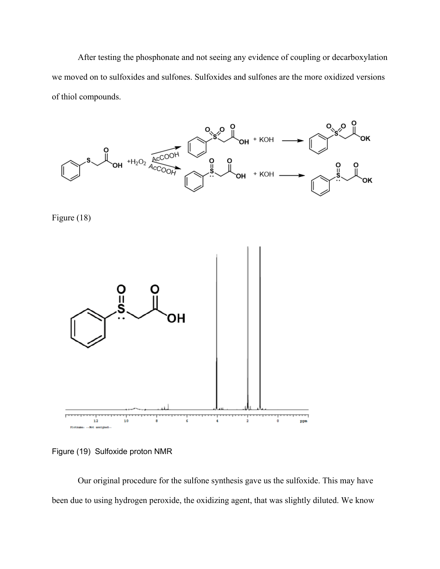After testing the phosphonate and not seeing any evidence of coupling or decarboxylation we moved on to sulfoxides and sulfones. Sulfoxides and sulfones are the more oxidized versions of thiol compounds.







Figure (19) Sulfoxide proton NMR

Our original procedure for the sulfone synthesis gave us the sulfoxide. This may have been due to using hydrogen peroxide, the oxidizing agent, that was slightly diluted. We know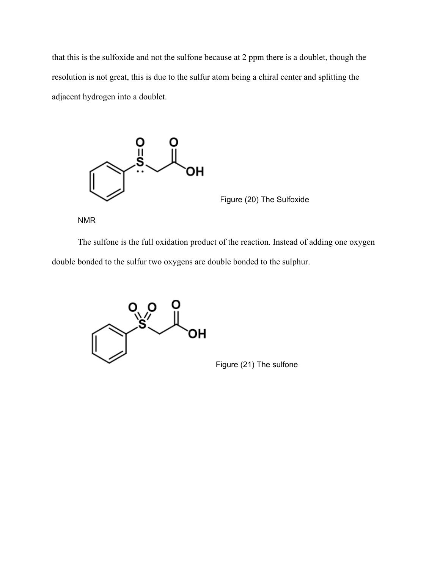that this is the sulfoxide and not the sulfone because at 2 ppm there is a doublet, though the resolution is not great, this is due to the sulfur atom being a chiral center and splitting the adjacent hydrogen into a doublet.



Figure (20) The Sulfoxide

NMR

The sulfone is the full oxidation product of the reaction. Instead of adding one oxygen double bonded to the sulfur two oxygens are double bonded to the sulphur.



Figure (21) The sulfone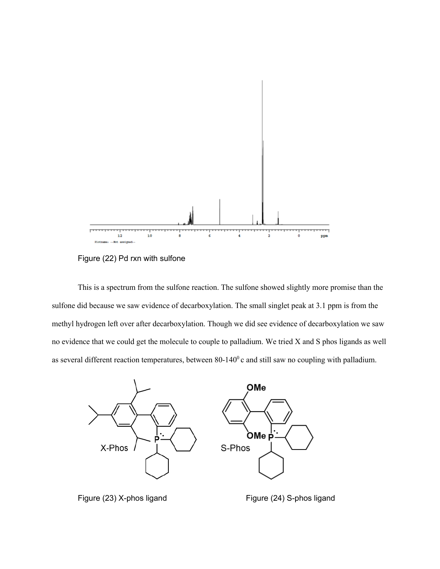

Figure (22) Pd rxn with sulfone

This is a spectrum from the sulfone reaction. The sulfone showed slightly more promise than the sulfone did because we saw evidence of decarboxylation. The small singlet peak at 3.1 ppm is from the methyl hydrogen left over after decarboxylation. Though we did see evidence of decarboxylation we saw no evidence that we could get the molecule to couple to palladium. We tried X and S phos ligands as well as several different reaction temperatures, between  $80-140^\circ$  c and still saw no coupling with palladium.



Figure (23) X-phos ligand Figure (24) S-phos ligand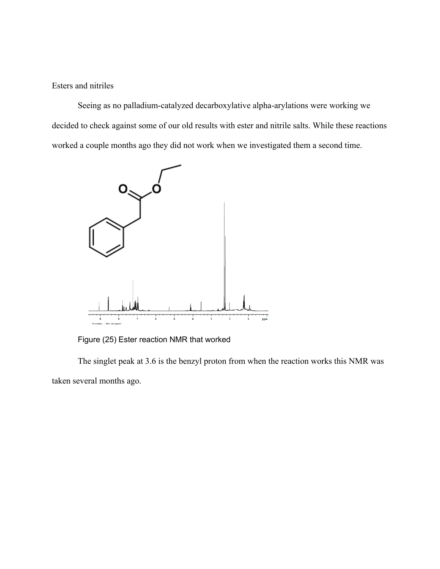Esters and nitriles

Seeing as no palladium-catalyzed decarboxylative alpha-arylations were working we decided to check against some of our old results with ester and nitrile salts. While these reactions worked a couple months ago they did not work when we investigated them a second time.



Figure (25) Ester reaction NMR that worked

The singlet peak at 3.6 is the benzyl proton from when the reaction works this NMR was taken several months ago.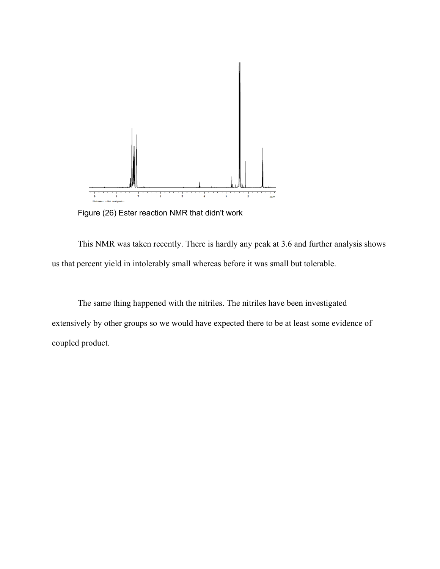

Figure (26) Ester reaction NMR that didn't work

This NMR was taken recently. There is hardly any peak at 3.6 and further analysis shows us that percent yield in intolerably small whereas before it was small but tolerable.

The same thing happened with the nitriles. The nitriles have been investigated extensively by other groups so we would have expected there to be at least some evidence of coupled product.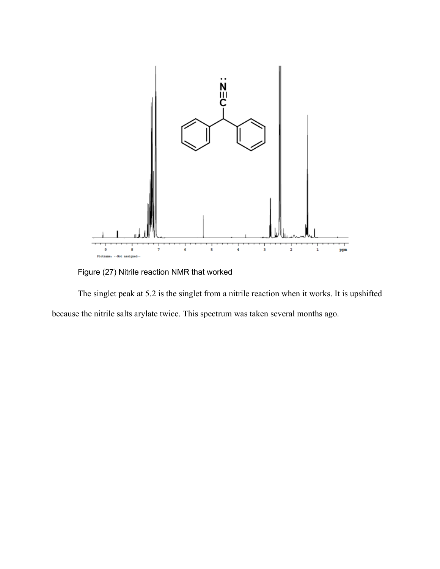

Figure (27) Nitrile reaction NMR that worked

The singlet peak at 5.2 is the singlet from a nitrile reaction when it works. It is upshifted because the nitrile salts arylate twice. This spectrum was taken several months ago.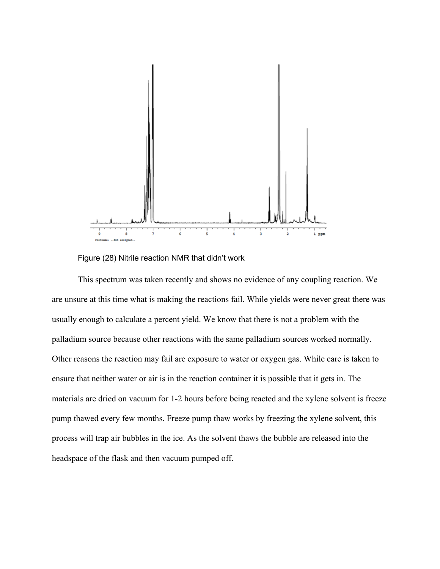

Figure (28) Nitrile reaction NMR that didn't work

This spectrum was taken recently and shows no evidence of any coupling reaction. We are unsure at this time what is making the reactions fail. While yields were never great there was usually enough to calculate a percent yield. We know that there is not a problem with the palladium source because other reactions with the same palladium sources worked normally. Other reasons the reaction may fail are exposure to water or oxygen gas. While care is taken to ensure that neither water or air is in the reaction container it is possible that it gets in. The materials are dried on vacuum for 1-2 hours before being reacted and the xylene solvent is freeze pump thawed every few months. Freeze pump thaw works by freezing the xylene solvent, this process will trap air bubbles in the ice. As the solvent thaws the bubble are released into the headspace of the flask and then vacuum pumped off.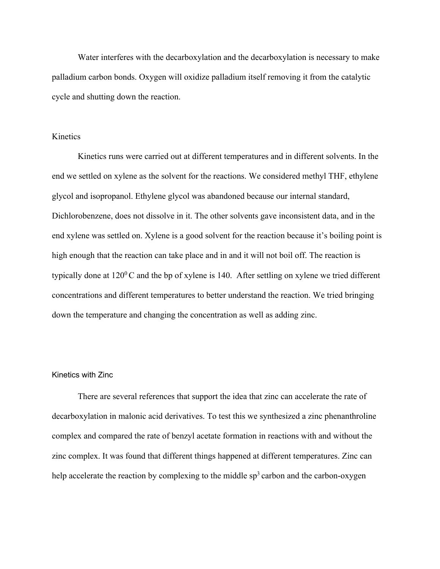Water interferes with the decarboxylation and the decarboxylation is necessary to make palladium carbon bonds. Oxygen will oxidize palladium itself removing it from the catalytic cycle and shutting down the reaction.

# Kinetics

Kinetics runs were carried out at different temperatures and in different solvents. In the end we settled on xylene as the solvent for the reactions. We considered methyl THF, ethylene glycol and isopropanol. Ethylene glycol was abandoned because our internal standard, Dichlorobenzene, does not dissolve in it. The other solvents gave inconsistent data, and in the end xylene was settled on. Xylene is a good solvent for the reaction because it's boiling point is high enough that the reaction can take place and in and it will not boil off. The reaction is typically done at  $120^{\circ}$ C and the bp of xylene is 140. After settling on xylene we tried different concentrations and different temperatures to better understand the reaction. We tried bringing down the temperature and changing the concentration as well as adding zinc.

### Kinetics with Zinc

There are several references that support the idea that zinc can accelerate the rate of decarboxylation in malonic acid derivatives. To test this we synthesized a zinc phenanthroline complex and compared the rate of benzyl acetate formation in reactions with and without the zinc complex. It was found that different things happened at different temperatures. Zinc can help accelerate the reaction by complexing to the middle  $sp<sup>3</sup>$  carbon and the carbon-oxygen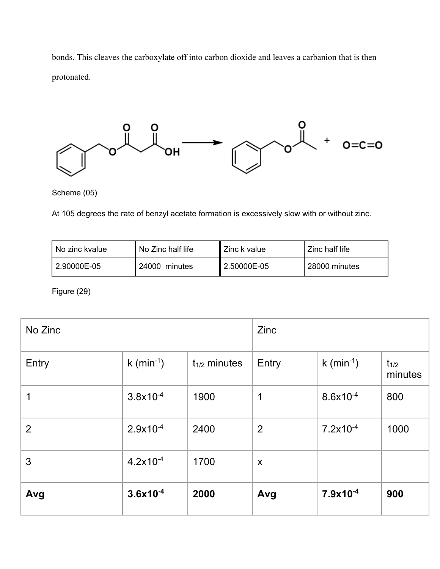bonds. This cleaves the carboxylate off into carbon dioxide and leaves a carbanion that is then protonated.



Scheme (05)

At 105 degrees the rate of benzyl acetate formation is excessively slow with or without zinc.

| No zinc kvalue | No Zinc half life | Zinc k value | Zinc half life |
|----------------|-------------------|--------------|----------------|
| 2.90000E-05    | 24000 minutes     | 2.50000E-05  | 28000 minutes  |

Figure (29)

| No Zinc        |                        |                   | Zinc           |                      |                      |
|----------------|------------------------|-------------------|----------------|----------------------|----------------------|
| Entry          | k (min <sup>-1</sup> ) | $t_{1/2}$ minutes | Entry          | $k \, (min^{-1})$    | $t_{1/2}$<br>minutes |
| 1              | $3.8x10^{-4}$          | 1900              | 1              | $8.6x10^{-4}$        | 800                  |
| $\overline{2}$ | $2.9x10^{-4}$          | 2400              | $\overline{2}$ | $7.2 \times 10^{-4}$ | 1000                 |
| 3              | $4.2x10^{-4}$          | 1700              | X              |                      |                      |
| Avg            | $3.6x10^{-4}$          | 2000              | Avg            | $7.9x10^{-4}$        | 900                  |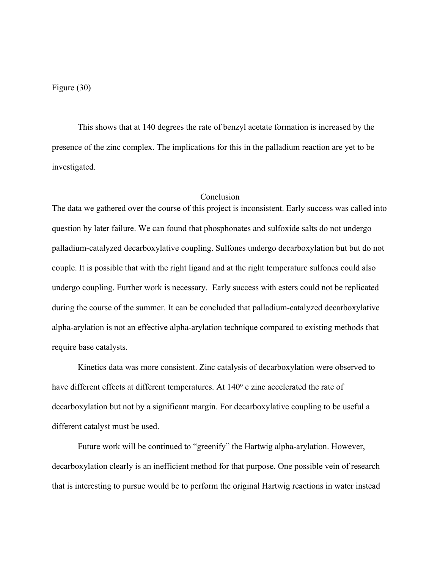### Figure (30)

This shows that at 140 degrees the rate of benzyl acetate formation is increased by the presence of the zinc complex. The implications for this in the palladium reaction are yet to be investigated.

#### **Conclusion**

The data we gathered over the course of this project is inconsistent. Early success was called into question by later failure. We can found that phosphonates and sulfoxide salts do not undergo palladium-catalyzed decarboxylative coupling. Sulfones undergo decarboxylation but but do not couple. It is possible that with the right ligand and at the right temperature sulfones could also undergo coupling. Further work is necessary. Early success with esters could not be replicated during the course of the summer. It can be concluded that palladium-catalyzed decarboxylative alpha-arylation is not an effective alpha-arylation technique compared to existing methods that require base catalysts.

Kinetics data was more consistent. Zinc catalysis of decarboxylation were observed to have different effects at different temperatures. At  $140^\circ$  c zinc accelerated the rate of decarboxylation but not by a significant margin. For decarboxylative coupling to be useful a different catalyst must be used.

Future work will be continued to "greenify" the Hartwig alpha-arylation. However, decarboxylation clearly is an inefficient method for that purpose. One possible vein of research that is interesting to pursue would be to perform the original Hartwig reactions in water instead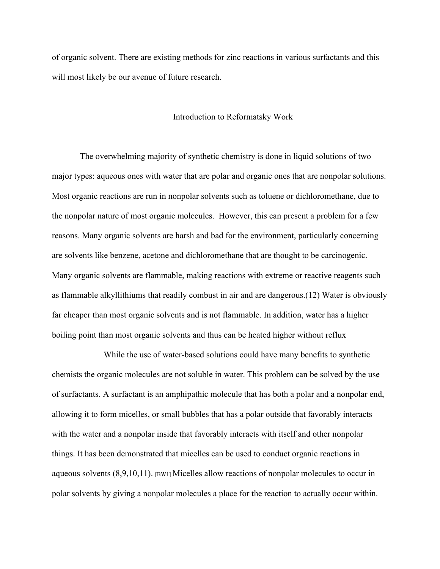of organic solvent. There are existing methods for zinc reactions in various surfactants and this will most likely be our avenue of future research.

#### Introduction to Reformatsky Work

The overwhelming majority of synthetic chemistry is done in liquid solutions of two major types: aqueous ones with water that are polar and organic ones that are nonpolar solutions. Most organic reactions are run in nonpolar solvents such as toluene or dichloromethane, due to the nonpolar nature of most organic molecules. However, this can present a problem for a few reasons. Many organic solvents are harsh and bad for the environment, particularly concerning are solvents like benzene, acetone and dichloromethane that are thought to be carcinogenic. Many organic solvents are flammable, making reactions with extreme or reactive reagents such as flammable alkyllithiums that readily combust in air and are dangerous.(12) Water is obviously far cheaper than most organic solvents and is not flammable. In addition, water has a higher boiling point than most organic solvents and thus can be heated higher without reflux

 While the use of water-based solutions could have many benefits to synthetic chemists the organic molecules are not soluble in water. This problem can be solved by the use of surfactants. A surfactant is an amphipathic molecule that has both a polar and a nonpolar end, allowing it to form micelles, or small bubbles that has a polar outside that favorably interacts with the water and a nonpolar inside that favorably interacts with itself and other nonpolar things. It has been demonstrated that micelles can be used to conduct organic reactions in aqueous solvents (8,9,10,11). [BW1] Micelles allow reactions of nonpolar molecules to occur in polar solvents by giving a nonpolar molecules a place for the reaction to actually occur within.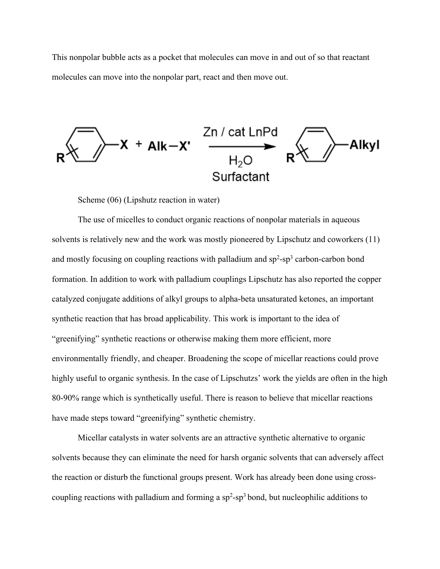This nonpolar bubble acts as a pocket that molecules can move in and out of so that reactant molecules can move into the nonpolar part, react and then move out.



Scheme (06) (Lipshutz reaction in water)

The use of micelles to conduct organic reactions of nonpolar materials in aqueous solvents is relatively new and the work was mostly pioneered by Lipschutz and coworkers (11) and mostly focusing on coupling reactions with palladium and  $sp^2$ -sp<sup>3</sup> carbon-carbon bond formation. In addition to work with palladium couplings Lipschutz has also reported the copper catalyzed conjugate additions of alkyl groups to alpha-beta unsaturated ketones, an important synthetic reaction that has broad applicability. This work is important to the idea of "greenifying" synthetic reactions or otherwise making them more efficient, more environmentally friendly, and cheaper. Broadening the scope of micellar reactions could prove highly useful to organic synthesis. In the case of Lipschutzs' work the yields are often in the high 80-90% range which is synthetically useful. There is reason to believe that micellar reactions have made steps toward "greenifying" synthetic chemistry.

Micellar catalysts in water solvents are an attractive synthetic alternative to organic solvents because they can eliminate the need for harsh organic solvents that can adversely affect the reaction or disturb the functional groups present. Work has already been done using crosscoupling reactions with palladium and forming a  $sp^2$ -sp<sup>3</sup> bond, but nucleophilic additions to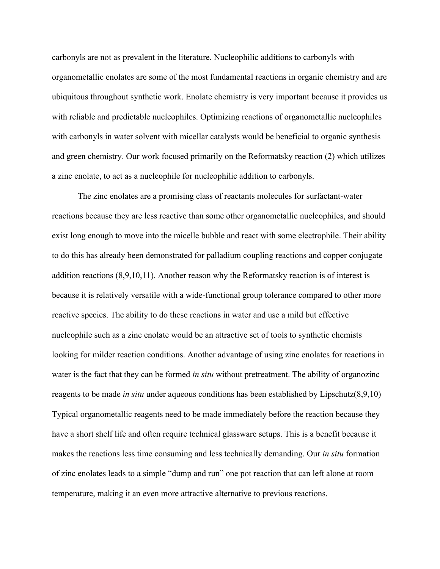carbonyls are not as prevalent in the literature. Nucleophilic additions to carbonyls with organometallic enolates are some of the most fundamental reactions in organic chemistry and are ubiquitous throughout synthetic work. Enolate chemistry is very important because it provides us with reliable and predictable nucleophiles. Optimizing reactions of organometallic nucleophiles with carbonyls in water solvent with micellar catalysts would be beneficial to organic synthesis and green chemistry. Our work focused primarily on the Reformatsky reaction (2) which utilizes a zinc enolate, to act as a nucleophile for nucleophilic addition to carbonyls.

The zinc enolates are a promising class of reactants molecules for surfactant-water reactions because they are less reactive than some other organometallic nucleophiles, and should exist long enough to move into the micelle bubble and react with some electrophile. Their ability to do this has already been demonstrated for palladium coupling reactions and copper conjugate addition reactions (8,9,10,11). Another reason why the Reformatsky reaction is of interest is because it is relatively versatile with a wide-functional group tolerance compared to other more reactive species. The ability to do these reactions in water and use a mild but effective nucleophile such as a zinc enolate would be an attractive set of tools to synthetic chemists looking for milder reaction conditions. Another advantage of using zinc enolates for reactions in water is the fact that they can be formed *in situ* without pretreatment. The ability of organozinc reagents to be made *in situ* under aqueous conditions has been established by Lipschutz(8,9,10) Typical organometallic reagents need to be made immediately before the reaction because they have a short shelf life and often require technical glassware setups. This is a benefit because it makes the reactions less time consuming and less technically demanding. Our *in situ* formation of zinc enolates leads to a simple "dump and run" one pot reaction that can left alone at room temperature, making it an even more attractive alternative to previous reactions.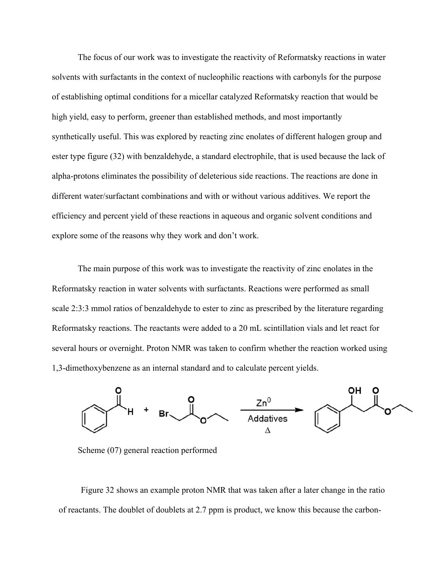The focus of our work was to investigate the reactivity of Reformatsky reactions in water solvents with surfactants in the context of nucleophilic reactions with carbonyls for the purpose of establishing optimal conditions for a micellar catalyzed Reformatsky reaction that would be high yield, easy to perform, greener than established methods, and most importantly synthetically useful. This was explored by reacting zinc enolates of different halogen group and ester type figure (32) with benzaldehyde, a standard electrophile, that is used because the lack of alpha-protons eliminates the possibility of deleterious side reactions. The reactions are done in different water/surfactant combinations and with or without various additives. We report the efficiency and percent yield of these reactions in aqueous and organic solvent conditions and explore some of the reasons why they work and don't work.

The main purpose of this work was to investigate the reactivity of zinc enolates in the Reformatsky reaction in water solvents with surfactants. Reactions were performed as small scale 2:3:3 mmol ratios of benzaldehyde to ester to zinc as prescribed by the literature regarding Reformatsky reactions. The reactants were added to a 20 mL scintillation vials and let react for several hours or overnight. Proton NMR was taken to confirm whether the reaction worked using 1,3-dimethoxybenzene as an internal standard and to calculate percent yields.



Scheme (07) general reaction performed

Figure 32 shows an example proton NMR that was taken after a later change in the ratio of reactants. The doublet of doublets at 2.7 ppm is product, we know this because the carbon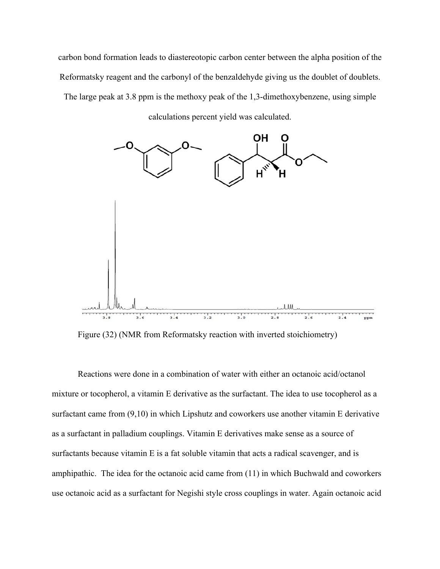carbon bond formation leads to diastereotopic carbon center between the alpha position of the Reformatsky reagent and the carbonyl of the benzaldehyde giving us the doublet of doublets.

The large peak at 3.8 ppm is the methoxy peak of the 1,3-dimethoxybenzene, using simple

calculations percent yield was calculated.



Figure (32) (NMR from Reformatsky reaction with inverted stoichiometry)

Reactions were done in a combination of water with either an octanoic acid/octanol mixture or tocopherol, a vitamin E derivative as the surfactant. The idea to use tocopherol as a surfactant came from (9,10) in which Lipshutz and coworkers use another vitamin E derivative as a surfactant in palladium couplings. Vitamin E derivatives make sense as a source of surfactants because vitamin E is a fat soluble vitamin that acts a radical scavenger, and is amphipathic. The idea for the octanoic acid came from (11) in which Buchwald and coworkers use octanoic acid as a surfactant for Negishi style cross couplings in water. Again octanoic acid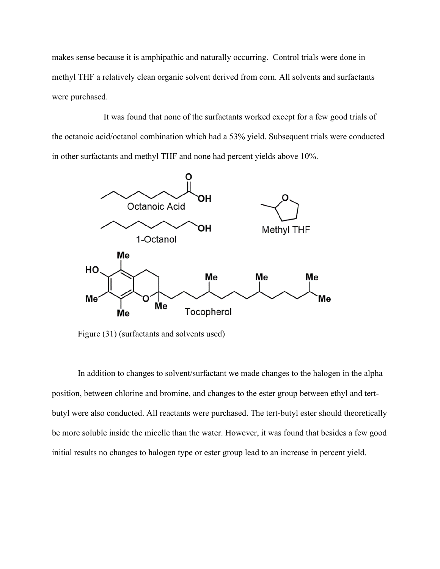makes sense because it is amphipathic and naturally occurring. Control trials were done in methyl THF a relatively clean organic solvent derived from corn. All solvents and surfactants were purchased.

 It was found that none of the surfactants worked except for a few good trials of the octanoic acid/octanol combination which had a 53% yield. Subsequent trials were conducted in other surfactants and methyl THF and none had percent yields above 10%.



Figure (31) (surfactants and solvents used)

In addition to changes to solvent/surfactant we made changes to the halogen in the alpha position, between chlorine and bromine, and changes to the ester group between ethyl and tertbutyl were also conducted. All reactants were purchased. The tert-butyl ester should theoretically be more soluble inside the micelle than the water. However, it was found that besides a few good initial results no changes to halogen type or ester group lead to an increase in percent yield.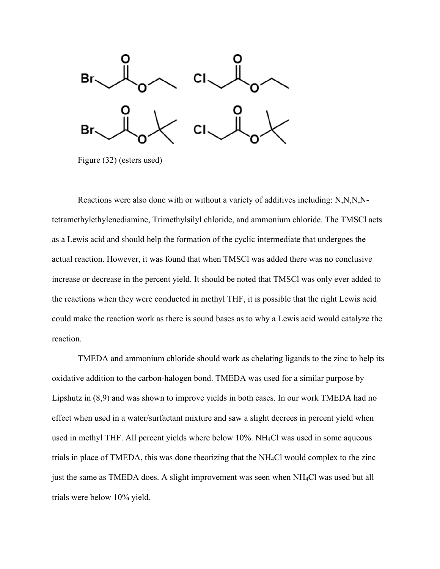

Figure (32) (esters used)

Reactions were also done with or without a variety of additives including: N,N,N,Ntetramethylethylenediamine, Trimethylsilyl chloride, and ammonium chloride. The TMSCl acts as a Lewis acid and should help the formation of the cyclic intermediate that undergoes the actual reaction. However, it was found that when TMSCl was added there was no conclusive increase or decrease in the percent yield. It should be noted that TMSCl was only ever added to the reactions when they were conducted in methyl THF, it is possible that the right Lewis acid could make the reaction work as there is sound bases as to why a Lewis acid would catalyze the reaction.

TMEDA and ammonium chloride should work as chelating ligands to the zinc to help its oxidative addition to the carbon-halogen bond. TMEDA was used for a similar purpose by Lipshutz in (8,9) and was shown to improve yields in both cases. In our work TMEDA had no effect when used in a water/surfactant mixture and saw a slight decrees in percent yield when used in methyl THF. All percent yields where below 10%. NH4Cl was used in some aqueous trials in place of TMEDA, this was done theorizing that the NH4Cl would complex to the zinc just the same as TMEDA does. A slight improvement was seen when NH4Cl was used but all trials were below 10% yield.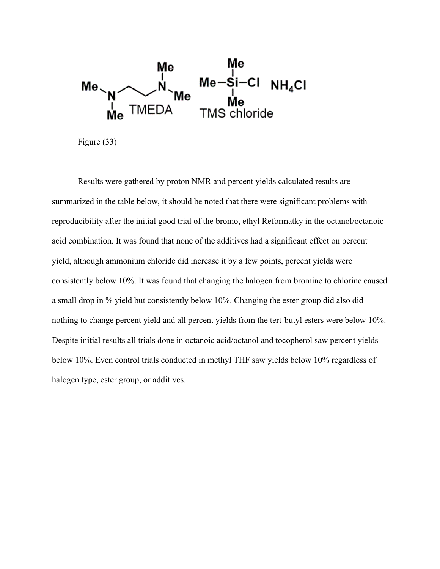

Figure (33)

Results were gathered by proton NMR and percent yields calculated results are summarized in the table below, it should be noted that there were significant problems with reproducibility after the initial good trial of the bromo, ethyl Reformatky in the octanol/octanoic acid combination. It was found that none of the additives had a significant effect on percent yield, although ammonium chloride did increase it by a few points, percent yields were consistently below 10%. It was found that changing the halogen from bromine to chlorine caused a small drop in % yield but consistently below 10%. Changing the ester group did also did nothing to change percent yield and all percent yields from the tert-butyl esters were below 10%. Despite initial results all trials done in octanoic acid/octanol and tocopherol saw percent yields below 10%. Even control trials conducted in methyl THF saw yields below 10% regardless of halogen type, ester group, or additives.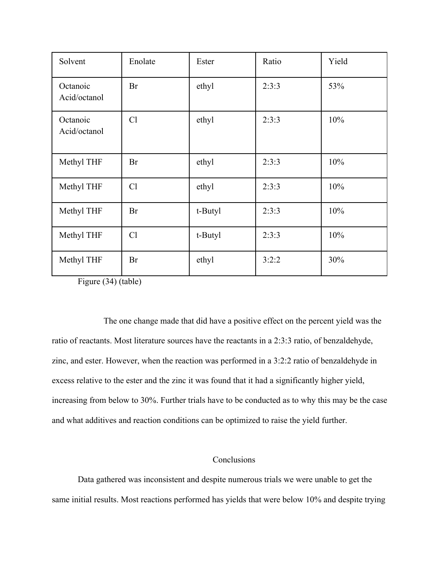| Solvent                  | Enolate   | Ester   | Ratio | Yield |
|--------------------------|-----------|---------|-------|-------|
| Octanoic<br>Acid/octanol | Br        | ethyl   | 2:3:3 | 53%   |
| Octanoic<br>Acid/octanol | Cl        | ethyl   | 2:3:3 | 10%   |
| Methyl THF               | Br        | ethyl   | 2:3:3 | 10%   |
| Methyl THF               | Cl        | ethyl   | 2:3:3 | 10%   |
| Methyl THF               | <b>Br</b> | t-Butyl | 2:3:3 | 10%   |
| Methyl THF               | Cl        | t-Butyl | 2:3:3 | 10%   |
| Methyl THF               | <b>Br</b> | ethyl   | 3:2:2 | 30%   |

Figure (34) (table)

 The one change made that did have a positive effect on the percent yield was the ratio of reactants. Most literature sources have the reactants in a 2:3:3 ratio, of benzaldehyde, zinc, and ester. However, when the reaction was performed in a 3:2:2 ratio of benzaldehyde in excess relative to the ester and the zinc it was found that it had a significantly higher yield, increasing from below to 30%. Further trials have to be conducted as to why this may be the case and what additives and reaction conditions can be optimized to raise the yield further.

# **Conclusions**

Data gathered was inconsistent and despite numerous trials we were unable to get the same initial results. Most reactions performed has yields that were below 10% and despite trying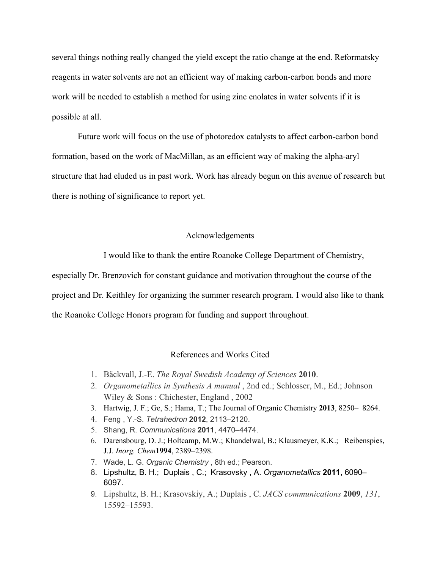several things nothing really changed the yield except the ratio change at the end. Reformatsky reagents in water solvents are not an efficient way of making carbon-carbon bonds and more work will be needed to establish a method for using zinc enolates in water solvents if it is possible at all.

Future work will focus on the use of photoredox catalysts to affect carbon-carbon bond formation, based on the work of MacMillan, as an efficient way of making the alpha-aryl structure that had eluded us in past work. Work has already begun on this avenue of research but there is nothing of significance to report yet.

#### Acknowledgements

I would like to thank the entire Roanoke College Department of Chemistry,

especially Dr. Brenzovich for constant guidance and motivation throughout the course of the project and Dr. Keithley for organizing the summer research program. I would also like to thank the Roanoke College Honors program for funding and support throughout.

#### References and Works Cited

- 1. Bäckvall, J.-E. *The Royal Swedish Academy of Sciences* **2010**.
- 2. *Organometallics in Synthesis A manual* , 2nd ed.; Schlosser, M., Ed.; Johnson Wiley & Sons : Chichester, England , 2002
- 3. Hartwig, J. F.; Ge, S.; Hama, T.; The Journal of Organic Chemistry **2013**, 8250– 8264.
- 4. Feng , Y.-S. *Tetrahedron* **2012**, 2113–2120.
- 5. Shang, R. *Communications* **2011**, 4470–4474.
- 6. Darensbourg, D. J.; Holtcamp, M.W.; Khandelwal, B.; Klausmeyer, K.K.; Reibenspies, J.J. *Inorg. Chem***1994**, 2389–2398.
- 7. Wade, L. G. *Organic Chemistry* , 8th ed.; Pearson.
- 8. Lipshultz, B. H.; Duplais , C.; Krasovsky , A. *Organometallics* **2011**, 6090– 6097.
- 9. Lipshultz, B. H.; Krasovskiy, A.; Duplais , C. *JACS communications* **2009**, *131*, 15592–15593.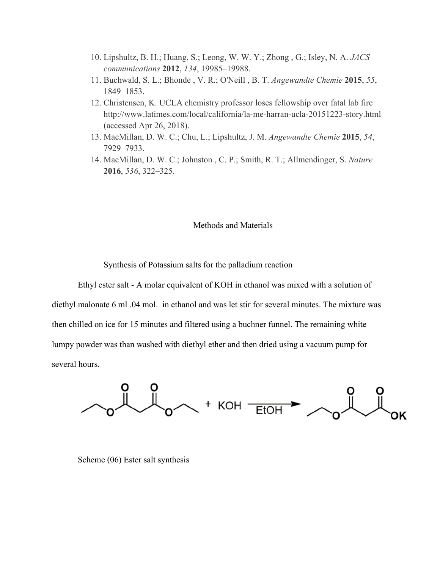- 10. Lipshultz, B. H.; Huang, S.; Leong, W. W. Y.; Zhong , G.; Isley, N. A. *JACS communications* **2012**, *134*, 19985–19988.
- 11. Buchwald, S. L.; Bhonde , V. R.; O'Neill , B. T. *Angewandte Chemie* **2015**, *55*, 1849–1853.
- 12. Christensen, K. UCLA chemistry professor loses fellowship over fatal lab fire http://www.latimes.com/local/california/la-me-harran-ucla-20151223-story.html (accessed Apr 26, 2018).
- 13. MacMillan, D. W. C.; Chu, L.; Lipshultz, J. M. *Angewandte Chemie* **2015**, *54*, 7929–7933.
- 14. MacMillan, D. W. C.; Johnston , C. P.; Smith, R. T.; Allmendinger, S. *Nature* **2016**, *536*, 322–325.

# Methods and Materials

Synthesis of Potassium salts for the palladium reaction

Ethyl ester salt - A molar equivalent of KOH in ethanol was mixed with a solution of diethyl malonate 6 ml .04 mol. in ethanol and was let stir for several minutes. The mixture was then chilled on ice for 15 minutes and filtered using a buchner funnel. The remaining white lumpy powder was than washed with diethyl ether and then dried using a vacuum pump for several hours.

+ KOH -EtOH

Scheme (06) Ester salt synthesis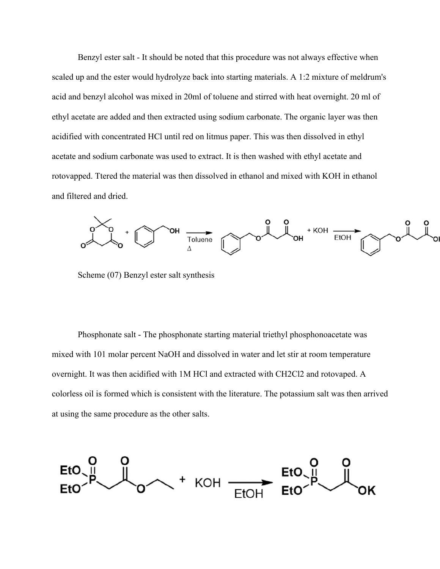Benzyl ester salt - It should be noted that this procedure was not always effective when scaled up and the ester would hydrolyze back into starting materials. A 1:2 mixture of meldrum's acid and benzyl alcohol was mixed in 20ml of toluene and stirred with heat overnight. 20 ml of ethyl acetate are added and then extracted using sodium carbonate. The organic layer was then acidified with concentrated HCl until red on litmus paper. This was then dissolved in ethyl acetate and sodium carbonate was used to extract. It is then washed with ethyl acetate and rotovapped. Ttered the material was then dissolved in ethanol and mixed with KOH in ethanol and filtered and dried.



Scheme (07) Benzyl ester salt synthesis

Phosphonate salt - The phosphonate starting material triethyl phosphonoacetate was mixed with 101 molar percent NaOH and dissolved in water and let stir at room temperature overnight. It was then acidified with 1M HCl and extracted with CH2Cl2 and rotovaped. A colorless oil is formed which is consistent with the literature. The potassium salt was then arrived at using the same procedure as the other salts.

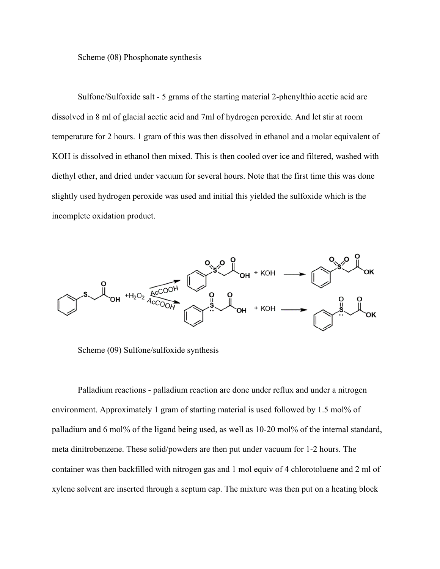Scheme (08) Phosphonate synthesis

Sulfone/Sulfoxide salt - 5 grams of the starting material 2-phenylthio acetic acid are dissolved in 8 ml of glacial acetic acid and 7ml of hydrogen peroxide. And let stir at room temperature for 2 hours. 1 gram of this was then dissolved in ethanol and a molar equivalent of KOH is dissolved in ethanol then mixed. This is then cooled over ice and filtered, washed with diethyl ether, and dried under vacuum for several hours. Note that the first time this was done slightly used hydrogen peroxide was used and initial this yielded the sulfoxide which is the incomplete oxidation product.



Scheme (09) Sulfone/sulfoxide synthesis

Palladium reactions - palladium reaction are done under reflux and under a nitrogen environment. Approximately 1 gram of starting material is used followed by 1.5 mol% of palladium and 6 mol% of the ligand being used, as well as 10-20 mol% of the internal standard, meta dinitrobenzene. These solid/powders are then put under vacuum for 1-2 hours. The container was then backfilled with nitrogen gas and 1 mol equiv of 4 chlorotoluene and 2 ml of xylene solvent are inserted through a septum cap. The mixture was then put on a heating block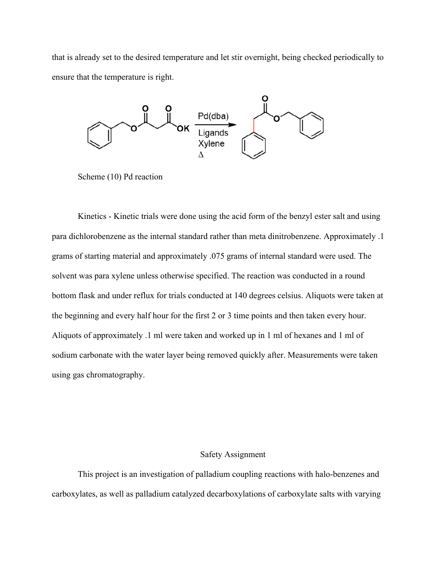that is already set to the desired temperature and let stir overnight, being checked periodically to ensure that the temperature is right.



Scheme (10) Pd reaction

Kinetics - Kinetic trials were done using the acid form of the benzyl ester salt and using para dichlorobenzene as the internal standard rather than meta dinitrobenzene. Approximately .1 grams of starting material and approximately .075 grams of internal standard were used. The solvent was para xylene unless otherwise specified. The reaction was conducted in a round bottom flask and under reflux for trials conducted at 140 degrees celsius. Aliquots were taken at the beginning and every half hour for the first 2 or 3 time points and then taken every hour. Aliquots of approximately .1 ml were taken and worked up in 1 ml of hexanes and 1 ml of sodium carbonate with the water layer being removed quickly after. Measurements were taken using gas chromatography.

# Safety Assignment

This project is an investigation of palladium coupling reactions with halo-benzenes and carboxylates, as well as palladium catalyzed decarboxylations of carboxylate salts with varying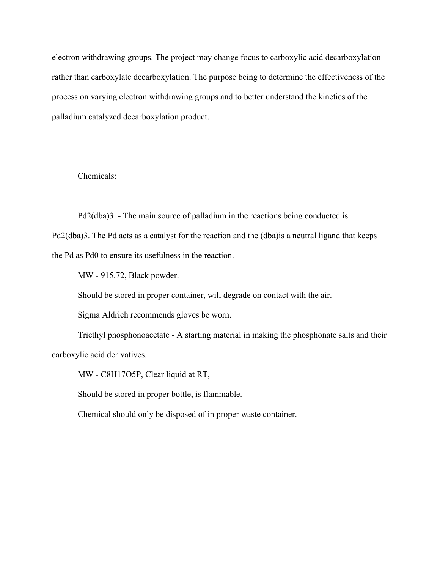electron withdrawing groups. The project may change focus to carboxylic acid decarboxylation rather than carboxylate decarboxylation. The purpose being to determine the effectiveness of the process on varying electron withdrawing groups and to better understand the kinetics of the palladium catalyzed decarboxylation product.

Chemicals:

Pd2(dba)3 - The main source of palladium in the reactions being conducted is

Pd2(dba)3. The Pd acts as a catalyst for the reaction and the (dba)is a neutral ligand that keeps the Pd as Pd0 to ensure its usefulness in the reaction.

MW - 915.72, Black powder.

Should be stored in proper container, will degrade on contact with the air.

Sigma Aldrich recommends gloves be worn.

Triethyl phosphonoacetate - A starting material in making the phosphonate salts and their carboxylic acid derivatives.

MW - C8H17O5P, Clear liquid at RT,

Should be stored in proper bottle, is flammable.

Chemical should only be disposed of in proper waste container.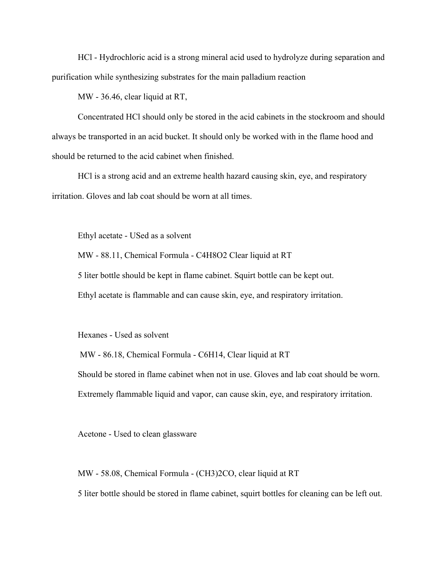HCl - Hydrochloric acid is a strong mineral acid used to hydrolyze during separation and purification while synthesizing substrates for the main palladium reaction

MW - 36.46, clear liquid at RT,

Concentrated HCl should only be stored in the acid cabinets in the stockroom and should always be transported in an acid bucket. It should only be worked with in the flame hood and should be returned to the acid cabinet when finished.

HCl is a strong acid and an extreme health hazard causing skin, eye, and respiratory irritation. Gloves and lab coat should be worn at all times.

Ethyl acetate - USed as a solvent

MW - 88.11, Chemical Formula - C4H8O2 Clear liquid at RT

5 liter bottle should be kept in flame cabinet. Squirt bottle can be kept out.

Ethyl acetate is flammable and can cause skin, eye, and respiratory irritation.

Hexanes - Used as solvent

MW - 86.18, Chemical Formula - C6H14, Clear liquid at RT Should be stored in flame cabinet when not in use. Gloves and lab coat should be worn. Extremely flammable liquid and vapor, can cause skin, eye, and respiratory irritation.

Acetone - Used to clean glassware

MW - 58.08, Chemical Formula - (CH3)2CO, clear liquid at RT

5 liter bottle should be stored in flame cabinet, squirt bottles for cleaning can be left out.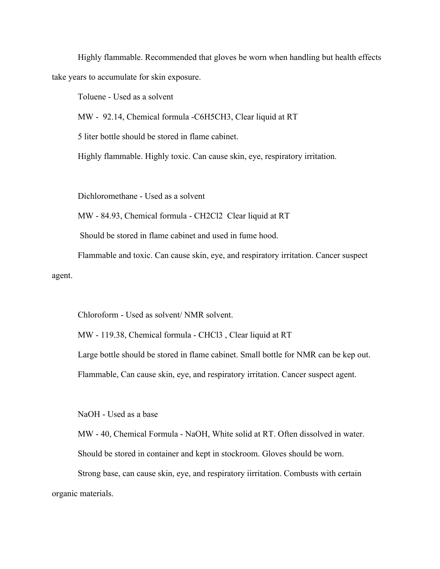Highly flammable. Recommended that gloves be worn when handling but health effects take years to accumulate for skin exposure.

Toluene - Used as a solvent

MW - 92.14, Chemical formula -C6H5CH3, Clear liquid at RT

5 liter bottle should be stored in flame cabinet.

Highly flammable. Highly toxic. Can cause skin, eye, respiratory irritation.

Dichloromethane - Used as a solvent

MW - 84.93, Chemical formula - CH2Cl2 Clear liquid at RT

Should be stored in flame cabinet and used in fume hood.

Flammable and toxic. Can cause skin, eye, and respiratory irritation. Cancer suspect agent.

Chloroform - Used as solvent/ NMR solvent.

MW - 119.38, Chemical formula - CHCl3 , Clear liquid at RT

Large bottle should be stored in flame cabinet. Small bottle for NMR can be kep out.

Flammable, Can cause skin, eye, and respiratory irritation. Cancer suspect agent.

NaOH - Used as a base

MW - 40, Chemical Formula - NaOH, White solid at RT. Often dissolved in water. Should be stored in container and kept in stockroom. Gloves should be worn.

Strong base, can cause skin, eye, and respiratory iirritation. Combusts with certain organic materials.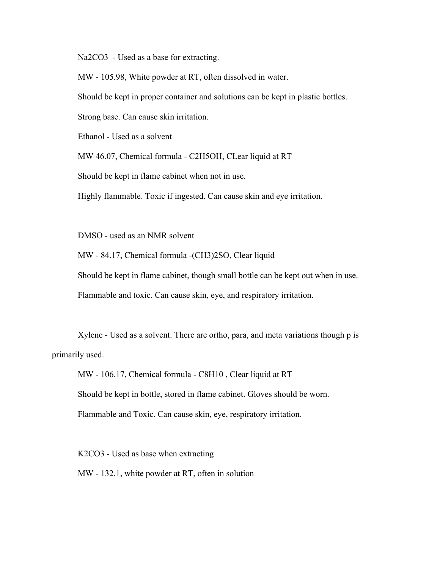Na2CO3 - Used as a base for extracting.

MW - 105.98, White powder at RT, often dissolved in water.

Should be kept in proper container and solutions can be kept in plastic bottles.

Strong base. Can cause skin irritation.

Ethanol - Used as a solvent

MW 46.07, Chemical formula - C2H5OH, CLear liquid at RT

Should be kept in flame cabinet when not in use.

Highly flammable. Toxic if ingested. Can cause skin and eye irritation.

DMSO - used as an NMR solvent

MW - 84.17, Chemical formula -(CH3)2SO, Clear liquid

Should be kept in flame cabinet, though small bottle can be kept out when in use.

Flammable and toxic. Can cause skin, eye, and respiratory irritation.

Xylene - Used as a solvent. There are ortho, para, and meta variations though p is primarily used.

MW - 106.17, Chemical formula - C8H10 , Clear liquid at RT Should be kept in bottle, stored in flame cabinet. Gloves should be worn. Flammable and Toxic. Can cause skin, eye, respiratory irritation.

K2CO3 - Used as base when extracting MW - 132.1, white powder at RT, often in solution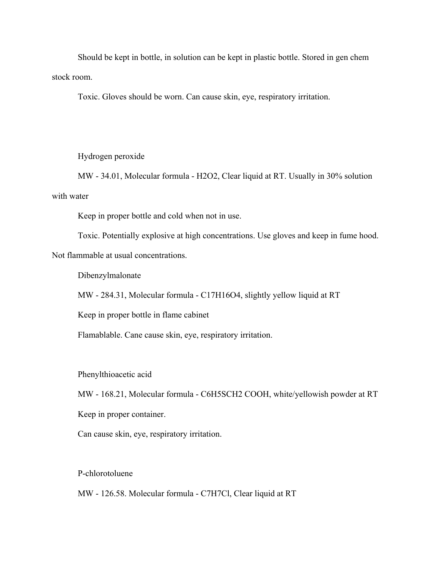Should be kept in bottle, in solution can be kept in plastic bottle. Stored in gen chem stock room.

Toxic. Gloves should be worn. Can cause skin, eye, respiratory irritation.

Hydrogen peroxide

MW - 34.01, Molecular formula - H2O2, Clear liquid at RT. Usually in 30% solution with water

Keep in proper bottle and cold when not in use.

Toxic. Potentially explosive at high concentrations. Use gloves and keep in fume hood.

Not flammable at usual concentrations.

Dibenzylmalonate

MW - 284.31, Molecular formula - C17H16O4, slightly yellow liquid at RT

Keep in proper bottle in flame cabinet

Flamablable. Cane cause skin, eye, respiratory irritation.

Phenylthioacetic acid

MW - 168.21, Molecular formula - C6H5SCH2 COOH, white/yellowish powder at RT Keep in proper container.

Can cause skin, eye, respiratory irritation.

P-chlorotoluene

MW - 126.58. Molecular formula - C7H7Cl, Clear liquid at RT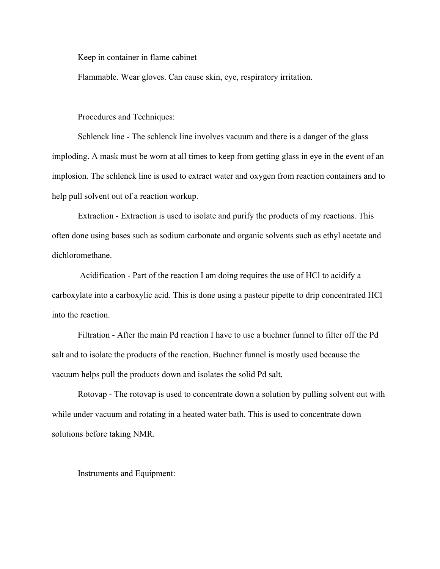Keep in container in flame cabinet

Flammable. Wear gloves. Can cause skin, eye, respiratory irritation.

Procedures and Techniques:

Schlenck line - The schlenck line involves vacuum and there is a danger of the glass imploding. A mask must be worn at all times to keep from getting glass in eye in the event of an implosion. The schlenck line is used to extract water and oxygen from reaction containers and to help pull solvent out of a reaction workup.

Extraction - Extraction is used to isolate and purify the products of my reactions. This often done using bases such as sodium carbonate and organic solvents such as ethyl acetate and dichloromethane.

Acidification - Part of the reaction I am doing requires the use of HCl to acidify a carboxylate into a carboxylic acid. This is done using a pasteur pipette to drip concentrated HCl into the reaction.

Filtration - After the main Pd reaction I have to use a buchner funnel to filter off the Pd salt and to isolate the products of the reaction. Buchner funnel is mostly used because the vacuum helps pull the products down and isolates the solid Pd salt.

Rotovap - The rotovap is used to concentrate down a solution by pulling solvent out with while under vacuum and rotating in a heated water bath. This is used to concentrate down solutions before taking NMR.

Instruments and Equipment: